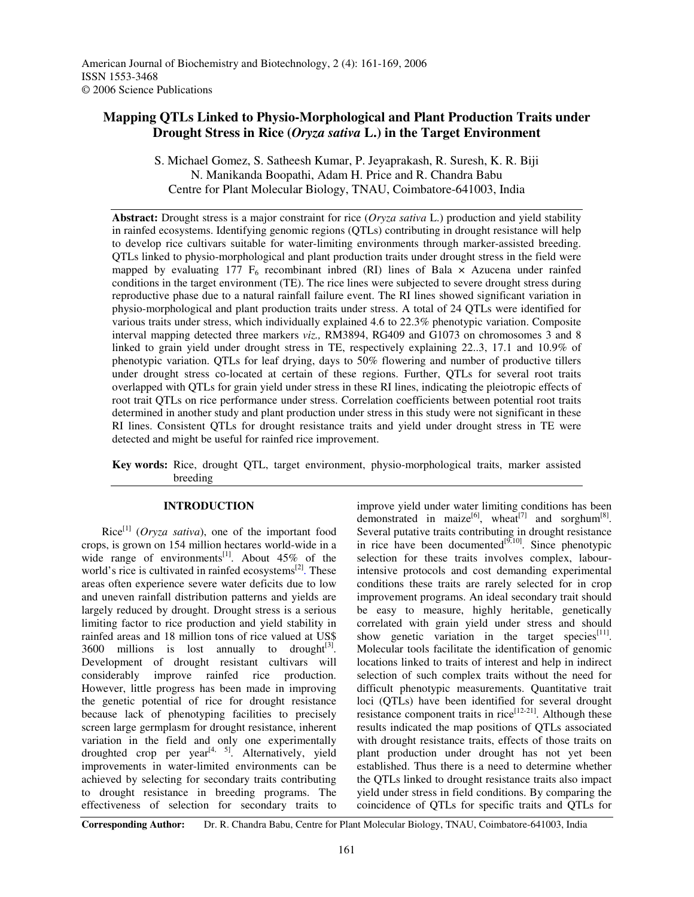# **Mapping QTLs Linked to Physio-Morphological and Plant Production Traits under Drought Stress in Rice (***Oryza sativa* **L.) in the Target Environment**

S. Michael Gomez, S. Satheesh Kumar, P. Jeyaprakash, R. Suresh, K. R. Biji N. Manikanda Boopathi, Adam H. Price and R. Chandra Babu Centre for Plant Molecular Biology, TNAU, Coimbatore-641003, India

**Abstract:** Drought stress is a major constraint for rice (*Oryza sativa* L.) production and yield stability in rainfed ecosystems. Identifying genomic regions (QTLs) contributing in drought resistance will help to develop rice cultivars suitable for water-limiting environments through marker-assisted breeding. QTLs linked to physio-morphological and plant production traits under drought stress in the field were mapped by evaluating 177  $F_6$  recombinant inbred (RI) lines of Bala  $\times$  Azucena under rainfed conditions in the target environment (TE). The rice lines were subjected to severe drought stress during reproductive phase due to a natural rainfall failure event. The RI lines showed significant variation in physio-morphological and plant production traits under stress. A total of 24 QTLs were identified for various traits under stress, which individually explained 4.6 to 22.3% phenotypic variation. Composite interval mapping detected three markers *viz.,* RM3894, RG409 and G1073 on chromosomes 3 and 8 linked to grain yield under drought stress in TE, respectively explaining 22..3, 17.1 and 10.9% of phenotypic variation. QTLs for leaf drying, days to 50% flowering and number of productive tillers under drought stress co-located at certain of these regions. Further, QTLs for several root traits overlapped with QTLs for grain yield under stress in these RI lines, indicating the pleiotropic effects of root trait QTLs on rice performance under stress. Correlation coefficients between potential root traits determined in another study and plant production under stress in this study were not significant in these RI lines. Consistent QTLs for drought resistance traits and yield under drought stress in TE were detected and might be useful for rainfed rice improvement.

**Key words:** Rice, drought QTL, target environment, physio-morphological traits, marker assisted breeding

# **INTRODUCTION**

Rice [1] (*Oryza sativa*), one of the important food crops, is grown on 154 million hectares world-wide in a wide range of environments<sup>[1]</sup>. About 45% of the world's rice is cultivated in rainfed ecosystems<sup>[2]</sup>. These areas often experience severe water deficits due to low and uneven rainfall distribution patterns and yields are largely reduced by drought. Drought stress is a serious limiting factor to rice production and yield stability in rainfed areas and 18 million tons of rice valued at US\$ 3600 millions is lost annually to drought $[3]$ . Development of drought resistant cultivars will considerably improve rainfed rice production. However, little progress has been made in improving the genetic potential of rice for drought resistance because lack of phenotyping facilities to precisely screen large germplasm for drought resistance, inherent variation in the field and only one experimentally droughted crop per year<sup>[4, 5]</sup>. Alternatively, yield improvements in water-limited environments can be achieved by selecting for secondary traits contributing to drought resistance in breeding programs. The effectiveness of selection for secondary traits to

improve yield under water limiting conditions has been demonstrated in maize<sup>[6]</sup>, wheat<sup>[7]</sup> and sorghum<sup>[8]</sup>. Several putative traits contributing in drought resistance in rice have been documented $[9,10]$ . Since phenotypic selection for these traits involves complex, labourintensive protocols and cost demanding experimental conditions these traits are rarely selected for in crop improvement programs. An ideal secondary trait should be easy to measure, highly heritable, genetically correlated with grain yield under stress and should show genetic variation in the target species $[11]$ . Molecular tools facilitate the identification of genomic locations linked to traits of interest and help in indirect selection of such complex traits without the need for difficult phenotypic measurements. Quantitative trait loci (QTLs) have been identified for several drought resistance component traits in rice<sup>[12-21]</sup>. Although these results indicated the map positions of QTLs associated with drought resistance traits, effects of those traits on plant production under drought has not yet been established. Thus there is a need to determine whether the QTLs linked to drought resistance traits also impact yield under stress in field conditions. By comparing the coincidence of QTLs for specific traits and QTLs for

**Corresponding Author:** Dr. R. Chandra Babu, Centre for Plant Molecular Biology, TNAU, Coimbatore-641003, India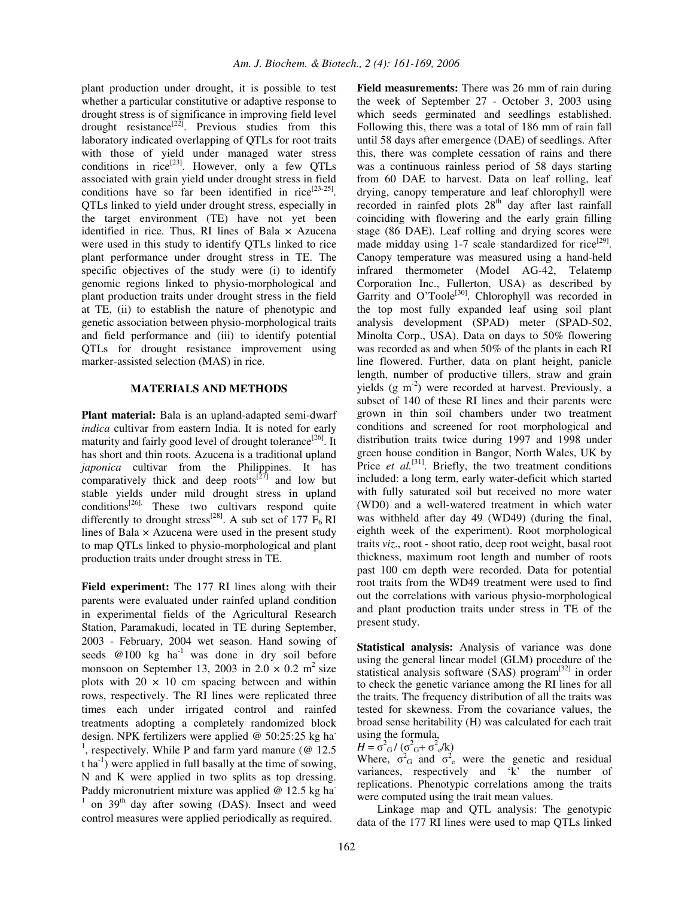plant production under drought, it is possible to test whether a particular constitutive or adaptive response to drought stress is of significance in improving field level drought resistance<sup>[22]</sup>. Previous studies from this laboratory indicated overlapping of QTLs for root traits with those of yield under managed water stress conditions in rice<sup>[23]</sup>. However, only a few QTLs associated with grain yield under drought stress in field conditions have so far been identified in rice<sup>[23-25]</sup>. QTLs linked to yield under drought stress, especially in the target environment (TE) have not yet been identified in rice. Thus, RI lines of Bala  $\times$  Azucena were used in this study to identify QTLs linked to rice plant performance under drought stress in TE. The specific objectives of the study were (i) to identify genomic regions linked to physio-morphological and plant production traits under drought stress in the field at TE, (ii) to establish the nature of phenotypic and genetic association between physio-morphological traits and field performance and (iii) to identify potential QTLs for drought resistance improvement using marker-assisted selection (MAS) in rice.

#### **MATERIALS AND METHODS**

**Plant material:** Bala is an upland-adapted semi-dwarf *indica* cultivar from eastern India. It is noted for early maturity and fairly good level of drought tolerance<sup>[26]</sup>. It has short and thin roots. Azucena is a traditional upland *japonica* cultivar from the Philippines. It has comparatively thick and deep roots $[27]$  and low but stable yields under mild drought stress in upland conditions<sup>[26].</sup> These two cultivars respond quite differently to drought stress<sup>[28]</sup>. A sub set of 177  $\overline{F}_6$  RI lines of Bala  $\times$  Azucena were used in the present study to map QTLs linked to physio-morphological and plant production traits under drought stress in TE.

**Field experiment:** The 177 RI lines along with their parents were evaluated under rainfed upland condition in experimental fields of the Agricultural Research Station, Paramakudi, located in TE during September, 2003 - February, 2004 wet season. Hand sowing of seeds  $@100$  kg ha<sup>-1</sup> was done in dry soil before monsoon on September 13, 2003 in  $2.0 \times 0.2$  m<sup>2</sup> size plots with  $20 \times 10$  cm spacing between and within rows, respectively. The RI lines were replicated three times each under irrigated control and rainfed treatments adopting a completely randomized block design. NPK fertilizers were applied @ 50:25:25 kg ha<sup>-</sup> <sup>1</sup>, respectively. While P and farm yard manure ( $\omega$  12.5  $t$  ha<sup>-1</sup>) were applied in full basally at the time of sowing, N and K were applied in two splits as top dressing. Paddy micronutrient mixture was applied @ 12.5 kg ha<sup>-</sup>  $1$  on 39<sup>th</sup> day after sowing (DAS). Insect and weed control measures were applied periodically as required.

**Field measurements:** There was 26 mm of rain during the week of September 27 - October 3, 2003 using which seeds germinated and seedlings established. Following this, there was a total of 186 mm of rain fall until 58 days after emergence (DAE) of seedlings. After this, there was complete cessation of rains and there was a continuous rainless period of 58 days starting from 60 DAE to harvest. Data on leaf rolling, leaf drying, canopy temperature and leaf chlorophyll were recorded in rainfed plots 28<sup>th</sup> day after last rainfall coinciding with flowering and the early grain filling stage (86 DAE). Leaf rolling and drying scores were made midday using 1-7 scale standardized for rice<sup>[29]</sup>. Canopy temperature was measured using a hand-held infrared thermometer (Model AG-42, Telatemp Corporation Inc., Fullerton, USA) as described by Garrity and O'Toole<sup>[30]</sup>. Chlorophyll was recorded in the top most fully expanded leaf using soil plant analysis development (SPAD) meter (SPAD-502, Minolta Corp., USA). Data on days to 50% flowering was recorded as and when 50% of the plants in each RI line flowered. Further, data on plant height, panicle length, number of productive tillers, straw and grain yields (g m<sup>-2</sup>) were recorded at harvest. Previously, a subset of 140 of these RI lines and their parents were grown in thin soil chambers under two treatment conditions and screened for root morphological and distribution traits twice during 1997 and 1998 under green house condition in Bangor, North Wales, UK by Price *et al.*<sup>[31]</sup>. Briefly, the two treatment conditions included: a long term, early water-deficit which started with fully saturated soil but received no more water (WD0) and a well-watered treatment in which water was withheld after day 49 (WD49) (during the final, eighth week of the experiment). Root morphological traits *viz*., root - shoot ratio, deep root weight, basal root thickness, maximum root length and number of roots past 100 cm depth were recorded. Data for potential root traits from the WD49 treatment were used to find out the correlations with various physio-morphological and plant production traits under stress in TE of the present study.

**Statistical analysis:** Analysis of variance was done using the general linear model (GLM) procedure of the statistical analysis software (SAS) program<sup>[32]</sup> in order to check the genetic variance among the RI lines for all the traits. The frequency distribution of all the traits was tested for skewness. From the covariance values, the broad sense heritability (H) was calculated for each trait using the formula,

 $H = \sigma^2 G / (\sigma^2 G + \sigma^2 e/k)$ 

Where,  $\sigma_G^2$  and  $\sigma_e^2$  were the genetic and residual variances, respectively and 'k' the number of replications. Phenotypic correlations among the traits were computed using the trait mean values.

Linkage map and QTL analysis: The genotypic data of the 177 RI lines were used to map QTLs linked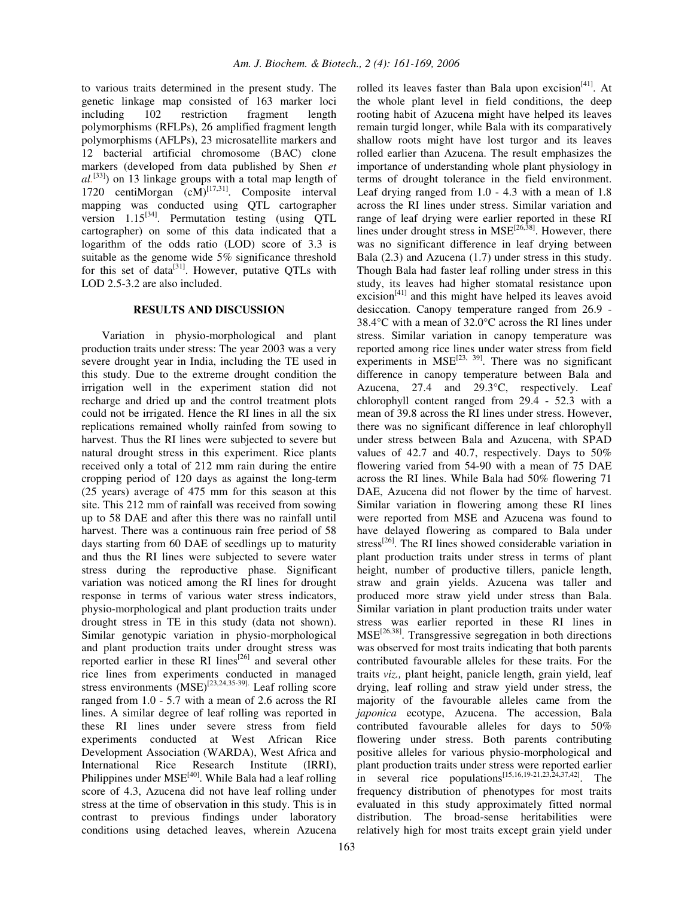to various traits determined in the present study. The genetic linkage map consisted of 163 marker loci including 102 restriction fragment length polymorphisms (RFLPs), 26 amplified fragment length polymorphisms (AFLPs), 23 microsatellite markers and 12 bacterial artificial chromosome (BAC) clone markers (developed from data published by Shen *et al.* [33] ) on 13 linkage groups with a total map length of 1720 centiMorgan (cM)<sup>[17,31]</sup>. Composite interval mapping was conducted using QTL cartographer version  $1.15^{[34]}$ . Permutation testing (using QTL cartographer) on some of this data indicated that a logarithm of the odds ratio (LOD) score of 3.3 is suitable as the genome wide 5% significance threshold for this set of data $^{[31]}$ . However, putative QTLs with LOD 2.5-3.2 are also included.

#### **RESULTS AND DISCUSSION**

Variation in physio-morphological and plant production traits under stress: The year 2003 was a very severe drought year in India, including the TE used in this study. Due to the extreme drought condition the irrigation well in the experiment station did not recharge and dried up and the control treatment plots could not be irrigated. Hence the RI lines in all the six replications remained wholly rainfed from sowing to harvest. Thus the RI lines were subjected to severe but natural drought stress in this experiment. Rice plants received only a total of 212 mm rain during the entire cropping period of 120 days as against the long-term (25 years) average of 475 mm for this season at this site. This 212 mm of rainfall was received from sowing up to 58 DAE and after this there was no rainfall until harvest. There was a continuous rain free period of 58 days starting from 60 DAE of seedlings up to maturity and thus the RI lines were subjected to severe water stress during the reproductive phase. Significant variation was noticed among the RI lines for drought response in terms of various water stress indicators, physio-morphological and plant production traits under drought stress in TE in this study (data not shown). Similar genotypic variation in physio-morphological and plant production traits under drought stress was reported earlier in these RI lines<sup>[26]</sup> and several other rice lines from experiments conducted in managed stress environments  $(MSE)^{[23,24,35-39]}$ . Leaf rolling score ranged from 1.0 - 5.7 with a mean of 2.6 across the RI lines. A similar degree of leaf rolling was reported in these RI lines under severe stress from field experiments conducted at West African Rice Development Association (WARDA), West Africa and International Rice Research Institute (IRRI), Philippines under MSE<sup>[40]</sup>. While Bala had a leaf rolling score of 4.3, Azucena did not have leaf rolling under stress at the time of observation in this study. This is in contrast to previous findings under laboratory conditions using detached leaves, wherein Azucena rooting habit of Azucena might have helped its leaves remain turgid longer, while Bala with its comparatively shallow roots might have lost turgor and its leaves rolled earlier than Azucena. The result emphasizes the importance of understanding whole plant physiology in terms of drought tolerance in the field environment. Leaf drying ranged from 1.0 - 4.3 with a mean of 1.8 across the RI lines under stress. Similar variation and range of leaf drying were earlier reported in these RI lines under drought stress in MSE<sup>[26,38]</sup>. However, there was no significant difference in leaf drying between Bala (2.3) and Azucena (1.7) under stress in this study. Though Bala had faster leaf rolling under stress in this study, its leaves had higher stomatal resistance upon excision $^{[41]}$  and this might have helped its leaves avoid desiccation. Canopy temperature ranged from 26.9 - 38.4°C with a mean of 32.0°C across the RI lines under stress. Similar variation in canopy temperature was reported among rice lines under water stress from field experiments in  $MSE^{[23, 39]}$ . There was no significant difference in canopy temperature between Bala and Azucena, 27.4 and 29.3°C, respectively. Leaf chlorophyll content ranged from 29.4 - 52.3 with a mean of 39.8 across the RI lines under stress. However, there was no significant difference in leaf chlorophyll under stress between Bala and Azucena, with SPAD values of 42.7 and 40.7, respectively. Days to 50% flowering varied from 54-90 with a mean of 75 DAE across the RI lines. While Bala had 50% flowering 71 DAE, Azucena did not flower by the time of harvest. Similar variation in flowering among these RI lines were reported from MSE and Azucena was found to have delayed flowering as compared to Bala under stress<sup>[26]</sup>. The RI lines showed considerable variation in plant production traits under stress in terms of plant height, number of productive tillers, panicle length, straw and grain yields. Azucena was taller and produced more straw yield under stress than Bala. Similar variation in plant production traits under water stress was earlier reported in these RI lines in MSE<sup>[26,38]</sup>. Transgressive segregation in both directions was observed for most traits indicating that both parents contributed favourable alleles for these traits. For the traits *viz.,* plant height, panicle length, grain yield, leaf drying, leaf rolling and straw yield under stress, the majority of the favourable alleles came from the *japonica* ecotype, Azucena. The accession, Bala contributed favourable alleles for days to 50% flowering under stress. Both parents contributing positive alleles for various physio-morphological and plant production traits under stress were reported earlier in several rice populations<sup>[15,16,19-21,23,24,37,42]</sup>. The frequency distribution of phenotypes for most traits evaluated in this study approximately fitted normal distribution. The broad-sense heritabilities were relatively high for most traits except grain yield under

rolled its leaves faster than Bala upon excision<sup>[41]</sup>. At the whole plant level in field conditions, the deep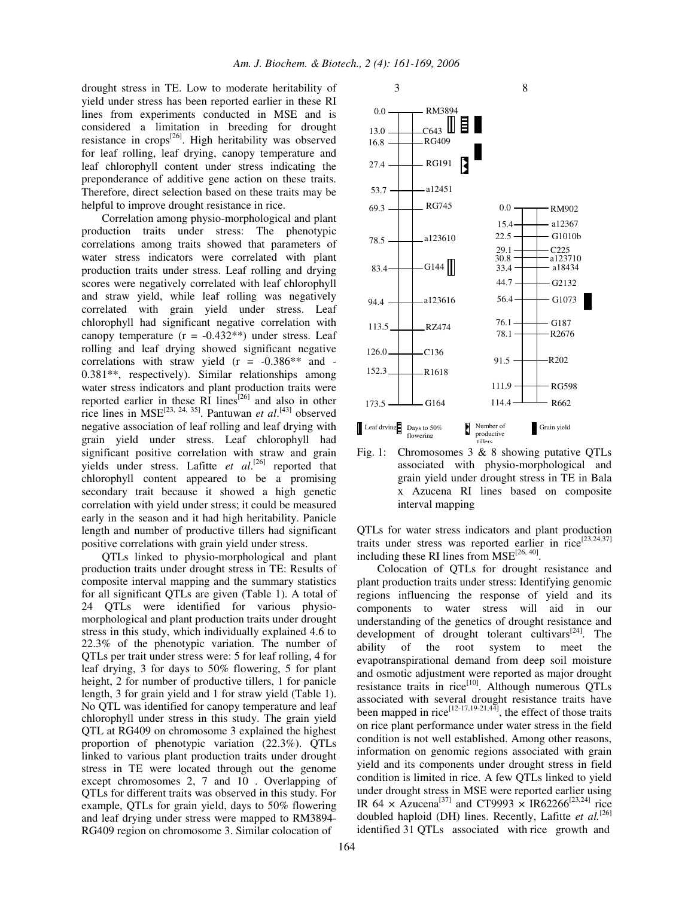drought stress in TE. Low to moderate heritability of yield under stress has been reported earlier in these RI lines from experiments conducted in MSE and is considered a limitation in breeding for drought resistance in crops<sup>[26]</sup>. High heritability was observed for leaf rolling, leaf drying, canopy temperature and leaf chlorophyll content under stress indicating the preponderance of additive gene action on these traits. Therefore, direct selection based on these traits may be helpful to improve drought resistance in rice.

Correlation among physio-morphological and plant production traits under stress: The phenotypic correlations among traits showed that parameters of water stress indicators were correlated with plant production traits under stress. Leaf rolling and drying scores were negatively correlated with leaf chlorophyll and straw yield, while leaf rolling was negatively correlated with grain yield under stress. Leaf chlorophyll had significant negative correlation with canopy temperature  $(r = -0.432**)$  under stress. Leaf rolling and leaf drying showed significant negative correlations with straw yield  $(r = -0.386**$  and -0.381\*\*, respectively). Similar relationships among water stress indicators and plant production traits were reported earlier in these RI lines<sup>[26]</sup> and also in other rice lines in MSE<sup>[23, 24, 35]</sup>. Pantuwan *et al*.<sup>[43]</sup> observed negative association of leaf rolling and leaf drying with grain yield under stress. Leaf chlorophyll had significant positive correlation with straw and grain yields under stress. Lafitte *et al.*<sup>[26]</sup> reported that chlorophyll content appeared to be a promising secondary trait because it showed a high genetic correlation with yield under stress; it could be measured early in the season and it had high heritability. Panicle length and number of productive tillers had significant positive correlations with grain yield under stress.

QTLs linked to physio-morphological and plant production traits under drought stress in TE: Results of composite interval mapping and the summary statistics for all significant QTLs are given (Table 1). A total of 24 QTLs were identified for various physiomorphological and plant production traits under drought stress in this study, which individually explained 4.6 to 22.3% of the phenotypic variation. The number of QTLs per trait under stress were: 5 for leaf rolling, 4 for leaf drying, 3 for days to 50% flowering, 5 for plant height, 2 for number of productive tillers, 1 for panicle length, 3 for grain yield and 1 for straw yield (Table 1). No QTL was identified for canopy temperature and leaf chlorophyll under stress in this study. The grain yield QTL at RG409 on chromosome 3 explained the highest proportion of phenotypic variation (22.3%). QTLs linked to various plant production traits under drought stress in TE were located through out the genome except chromosomes 2, 7 and 10 . Overlapping of QTLs for different traits was observed in this study. For example, QTLs for grain yield, days to 50% flowering and leaf drying under stress were mapped to RM3894- RG409 region on chromosome 3. Similar colocation of



Fig. 1: Chromosomes 3 & 8 showing putative QTLs associated with physio-morphological and grain yield under drought stress in TE in Bala x Azucena RI lines based on composite interval mapping

QTLs for water stress indicators and plant production traits under stress was reported earlier in  $\text{rice}^{[23,24,37]}$ including these RI lines from  $MSE^{[26, 40]}$ .

Colocation of QTLs for drought resistance and plant production traits under stress: Identifying genomic regions influencing the response of yield and its components to water stress will aid in our understanding of the genetics of drought resistance and development of drought tolerant cultivars<sup>[24]</sup>. The ability of the root system to meet the evapotranspirational demand from deep soil moisture and osmotic adjustment were reported as major drought resistance traits in rice<sup>[10]</sup>. Although numerous QTLs associated with several drought resistance traits have been mapped in rice<sup>[12-17,19-21,44]</sup>, the effect of those traits on rice plant performance under water stress in the field condition is not well established. Among other reasons, information on genomic regions associated with grain yield and its components under drought stress in field condition is limited in rice. A few QTLs linked to yield under drought stress in MSE were reported earlier using IR 64  $\times$  Azucena<sup>[37]</sup> and CT9993  $\times$  IR62266<sup>[23,24]</sup> rice doubled haploid (DH) lines. Recently, Lafitte *et al.* [26] identified 31 QTLs associated with rice growth and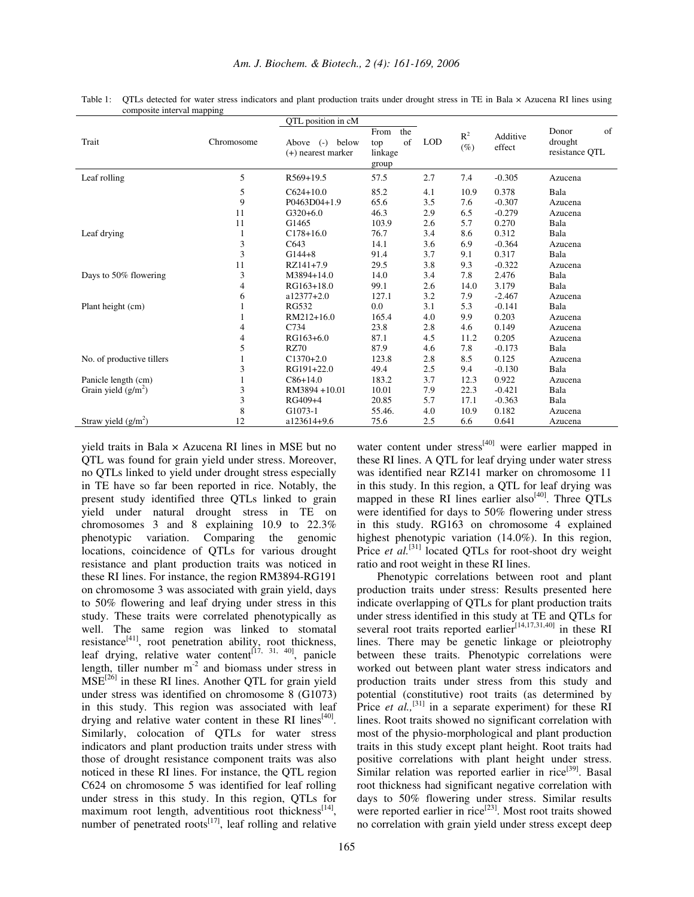|                           |                | QTL position in cM                              |                                              |            |                 |                    |                                          |
|---------------------------|----------------|-------------------------------------------------|----------------------------------------------|------------|-----------------|--------------------|------------------------------------------|
| Trait                     | Chromosome     | Above<br>below<br>$(-)$<br>$(+)$ nearest marker | the<br>From<br>of<br>top<br>linkage<br>group | <b>LOD</b> | $R^2$<br>$(\%)$ | Additive<br>effect | of<br>Donor<br>drought<br>resistance QTL |
| Leaf rolling              | 5              | R569+19.5                                       | 57.5                                         | 2.7        | 7.4             | $-0.305$           | Azucena                                  |
|                           | 5              | $C624+10.0$                                     | 85.2                                         | 4.1        | 10.9            | 0.378              | Bala                                     |
|                           | 9              | P0463D04+1.9                                    | 65.6                                         | 3.5        | 7.6             | $-0.307$           | Azucena                                  |
|                           | 11             | $G320+6.0$                                      | 46.3                                         | 2.9        | 6.5             | $-0.279$           | Azucena                                  |
|                           | 11             | G1465                                           | 103.9                                        | 2.6        | 5.7             | 0.270              | Bala                                     |
| Leaf drying               | 1              | $C178+16.0$                                     | 76.7                                         | 3.4        | 8.6             | 0.312              | Bala                                     |
|                           | 3              | C643                                            | 14.1                                         | 3.6        | 6.9             | $-0.364$           | Azucena                                  |
|                           | 3              | $G144+8$                                        | 91.4                                         | 3.7        | 9.1             | 0.317              | Bala                                     |
|                           | 11             | RZ141+7.9                                       | 29.5                                         | 3.8        | 9.3             | $-0.322$           | Azucena                                  |
| Days to 50% flowering     | 3              | M3894+14.0                                      | 14.0                                         | 3.4        | 7.8             | 2.476              | Bala                                     |
|                           | $\overline{4}$ | RG163+18.0                                      | 99.1                                         | 2.6        | 14.0            | 3.179              | Bala                                     |
|                           | 6              | $a12377+2.0$                                    | 127.1                                        | 3.2        | 7.9             | $-2.467$           | Azucena                                  |
| Plant height (cm)         |                | <b>RG532</b>                                    | 0.0                                          | 3.1        | 5.3             | $-0.141$           | Bala                                     |
|                           |                | RM212+16.0                                      | 165.4                                        | 4.0        | 9.9             | 0.203              | Azucena                                  |
|                           | 4              | C734                                            | 23.8                                         | 2.8        | 4.6             | 0.149              | Azucena                                  |
|                           | $\overline{4}$ | RG163+6.0                                       | 87.1                                         | 4.5        | 11.2            | 0.205              | Azucena                                  |
|                           | 5              | RZ70                                            | 87.9                                         | 4.6        | 7.8             | $-0.173$           | Bala                                     |
| No. of productive tillers |                | $C1370+2.0$                                     | 123.8                                        | 2.8        | 8.5             | 0.125              | Azucena                                  |
|                           | 3              | RG191+22.0                                      | 49.4                                         | 2.5        | 9.4             | $-0.130$           | Bala                                     |
| Panicle length (cm)       |                | $C86+14.0$                                      | 183.2                                        | 3.7        | 12.3            | 0.922              | Azucena                                  |
| Grain yield $(g/m^2)$     | 3              | RM3894+10.01                                    | 10.01                                        | 7.9        | 22.3            | $-0.421$           | Bala                                     |
|                           | 3              | RG409+4                                         | 20.85                                        | 5.7        | 17.1            | $-0.363$           | Bala                                     |
|                           | 8              | G1073-1                                         | 55.46.                                       | 4.0        | 10.9            | 0.182              | Azucena                                  |
| Straw yield $(g/m^2)$     | 12             | a123614+9.6                                     | 75.6                                         | 2.5        | 6.6             | 0.641              | Azucena                                  |

Table 1: QTLs detected for water stress indicators and plant production traits under drought stress in TE in Bala × Azucena RI lines using composite interval mapping

yield traits in Bala × Azucena RI lines in MSE but no QTL was found for grain yield under stress. Moreover, no QTLs linked to yield under drought stress especially in TE have so far been reported in rice. Notably, the present study identified three QTLs linked to grain yield under natural drought stress in TE on chromosomes 3 and 8 explaining 10.9 to 22.3% phenotypic variation. Comparing the genomic locations, coincidence of QTLs for various drought resistance and plant production traits was noticed in these RI lines. For instance, the region RM3894-RG191 on chromosome 3 was associated with grain yield, days to 50% flowering and leaf drying under stress in this study. These traits were correlated phenotypically as well. The same region was linked to stomatal resistance<sup>[41]</sup>, root penetration ability, root thickness, leaf drying, relative water content<sup>[17, 31, 40]</sup>, panicle length, tiller number  $m<sup>-2</sup>$  and biomass under stress in MSE<sup>[26]</sup> in these RI lines. Another QTL for grain yield under stress was identified on chromosome 8 (G1073) in this study. This region was associated with leaf drying and relative water content in these RI lines<sup>[40]</sup>. Similarly, colocation of QTLs for water stress indicators and plant production traits under stress with those of drought resistance component traits was also noticed in these RI lines. For instance, the QTL region C624 on chromosome 5 was identified for leaf rolling under stress in this study. In this region, QTLs for maximum root length, adventitious root thickness<sup>[14]</sup>, number of penetrated roots $^{[17]}$ , leaf rolling and relative

water content under stress<sup>[40]</sup> were earlier mapped in these RI lines. A QTL for leaf drying under water stress was identified near RZ141 marker on chromosome 11 in this study. In this region, a QTL for leaf drying was mapped in these RI lines earlier also<sup>[40]</sup>. Three QTLs were identified for days to 50% flowering under stress in this study. RG163 on chromosome 4 explained highest phenotypic variation (14.0%). In this region, Price et al.<sup>[31]</sup> located QTLs for root-shoot dry weight ratio and root weight in these RI lines.

Phenotypic correlations between root and plant production traits under stress: Results presented here indicate overlapping of QTLs for plant production traits under stress identified in this study at TE and QTLs for several root traits reported earlier<sup>[14,17,31,40]</sup> in these RI lines. There may be genetic linkage or pleiotrophy between these traits. Phenotypic correlations were worked out between plant water stress indicators and production traits under stress from this study and potential (constitutive) root traits (as determined by Price *et al.*,  $^{[31]}$  in a separate experiment) for these RI lines. Root traits showed no significant correlation with most of the physio-morphological and plant production traits in this study except plant height. Root traits had positive correlations with plant height under stress. Similar relation was reported earlier in rice<sup>[39]</sup>. Basal root thickness had significant negative correlation with days to 50% flowering under stress. Similar results were reported earlier in rice<sup>[23]</sup>. Most root traits showed no correlation with grain yield under stress except deep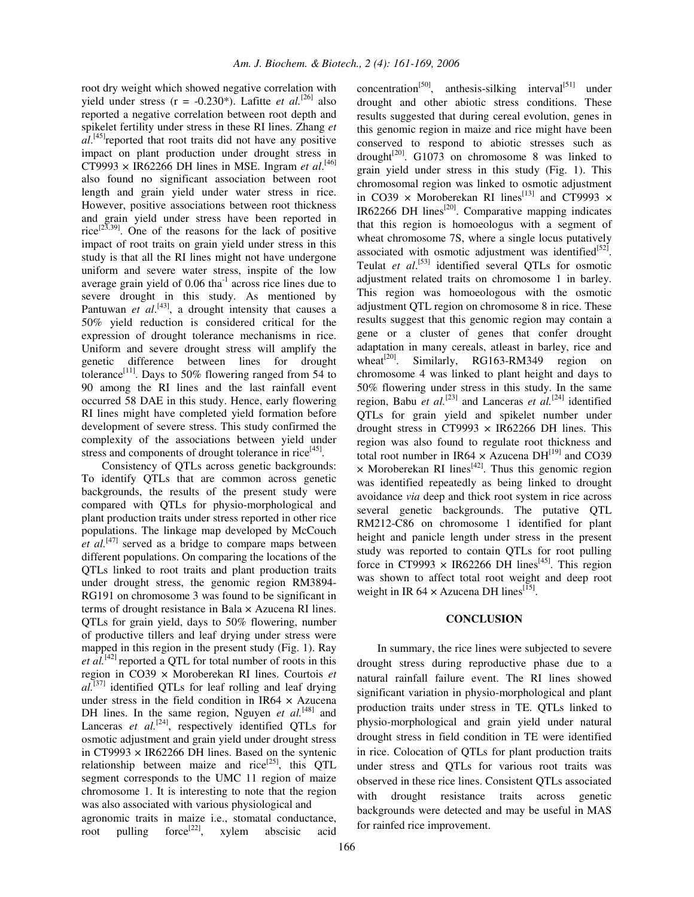root dry weight which showed negative correlation with yield under stress  $(r = -0.230^*)$ . Lafitte *et al.*<sup>[26]</sup> also reported a negative correlation between root depth and spikelet fertility under stress in these RI lines. Zhang *et* al.<sup>[45]</sup> reported that root traits did not have any positive impact on plant production under drought stress in CT9993  $\times$  IR62266 DH lines in MSE. Ingram *et al.*<sup>[46]</sup> also found no significant association between root length and grain yield under water stress in rice. However, positive associations between root thickness and grain yield under stress have been reported in rice<sup>[23,39]</sup>. One of the reasons for the lack of positive impact of root traits on grain yield under stress in this study is that all the RI lines might not have undergone uniform and severe water stress, inspite of the low average grain yield of  $0.06$  tha $^{-1}$  across rice lines due to severe drought in this study. As mentioned by Pantuwan *et al.*<sup>[43]</sup>, a drought intensity that causes a 50% yield reduction is considered critical for the expression of drought tolerance mechanisms in rice. Uniform and severe drought stress will amplify the genetic difference between lines for drought tolerance<sup>[11]</sup>. Days to 50% flowering ranged from 54 to 90 among the RI lines and the last rainfall event occurred 58 DAE in this study. Hence, early flowering RI lines might have completed yield formation before development of severe stress. This study confirmed the complexity of the associations between yield under stress and components of drought tolerance in rice<sup>[45]</sup>.

Consistency of QTLs across genetic backgrounds: To identify QTLs that are common across genetic backgrounds, the results of the present study were compared with QTLs for physio-morphological and plant production traits under stress reported in other rice populations. The linkage map developed by McCouch *et al.* [47] served as a bridge to compare maps between different populations. On comparing the locations of the QTLs linked to root traits and plant production traits under drought stress, the genomic region RM3894- RG191 on chromosome 3 was found to be significant in terms of drought resistance in Bala × Azucena RI lines. QTLs for grain yield, days to 50% flowering, number of productive tillers and leaf drying under stress were mapped in this region in the present study (Fig. 1). Ray *et al.* [42] reported a QTL for total number of roots in this region in CO39 × Moroberekan RI lines. Courtois *et al.* [37] identified QTLs for leaf rolling and leaf drying under stress in the field condition in IR64  $\times$  Azucena DH lines. In the same region, Nguyen *et al.*<sup>[48]</sup> and Lanceras et al.<sup>[24]</sup>, respectively identified QTLs for osmotic adjustment and grain yield under drought stress in CT9993  $\times$  IR62266 DH lines. Based on the syntenic relationship between maize and rice<sup>[25]</sup>, this QTL segment corresponds to the UMC 11 region of maize chromosome 1. It is interesting to note that the region was also associated with various physiological and agronomic traits in maize i.e., stomatal conductance, root pulling force<sup>[22]</sup>, xylem abscisic acid

166

concentration<sup>[50]</sup>, anthesis-silking interval<sup>[51]</sup> under drought and other abiotic stress conditions. These results suggested that during cereal evolution, genes in this genomic region in maize and rice might have been conserved to respond to abiotic stresses such as drought<sup>[20]</sup>. G1073 on chromosome 8 was linked to grain yield under stress in this study (Fig. 1). This chromosomal region was linked to osmotic adjustment in CO39  $\times$  Moroberekan RI lines<sup>[13]</sup> and CT9993  $\times$ IR62266 DH lines $^{[20]}$ . Comparative mapping indicates that this region is homoeologus with a segment of wheat chromosome 7S, where a single locus putatively associated with osmotic adjustment was identified $[52]$ . Teulat *et al*. [53] identified several QTLs for osmotic adjustment related traits on chromosome 1 in barley. This region was homoeologous with the osmotic adjustment QTL region on chromosome 8 in rice. These results suggest that this genomic region may contain a gene or a cluster of genes that confer drought adaptation in many cereals, atleast in barley, rice and wheat<sup>[20]</sup>. Similarly, RG163-RM349 region on chromosome 4 was linked to plant height and days to 50% flowering under stress in this study. In the same region, Babu *et al.*<sup>[23]</sup> and Lanceras *et al.*<sup>[24]</sup> identified QTLs for grain yield and spikelet number under drought stress in CT9993  $\times$  IR62266 DH lines. This region was also found to regulate root thickness and total root number in IR64  $\times$  Azucena DH<sup>[19]</sup> and CO39  $\times$  Moroberekan RI lines<sup>[42]</sup>. Thus this genomic region was identified repeatedly as being linked to drought avoidance *via* deep and thick root system in rice across several genetic backgrounds. The putative QTL RM212-C86 on chromosome 1 identified for plant height and panicle length under stress in the present study was reported to contain QTLs for root pulling force in CT9993  $\times$  IR62266 DH lines<sup>[45]</sup>. This region was shown to affect total root weight and deep root weight in IR  $64 \times$  Azucena DH lines<sup>[15]</sup>.

## **CONCLUSION**

In summary, the rice lines were subjected to severe drought stress during reproductive phase due to a natural rainfall failure event. The RI lines showed significant variation in physio-morphological and plant production traits under stress in TE. QTLs linked to physio-morphological and grain yield under natural drought stress in field condition in TE were identified in rice. Colocation of QTLs for plant production traits under stress and QTLs for various root traits was observed in these rice lines. Consistent QTLs associated with drought resistance traits across genetic backgrounds were detected and may be useful in MAS for rainfed rice improvement.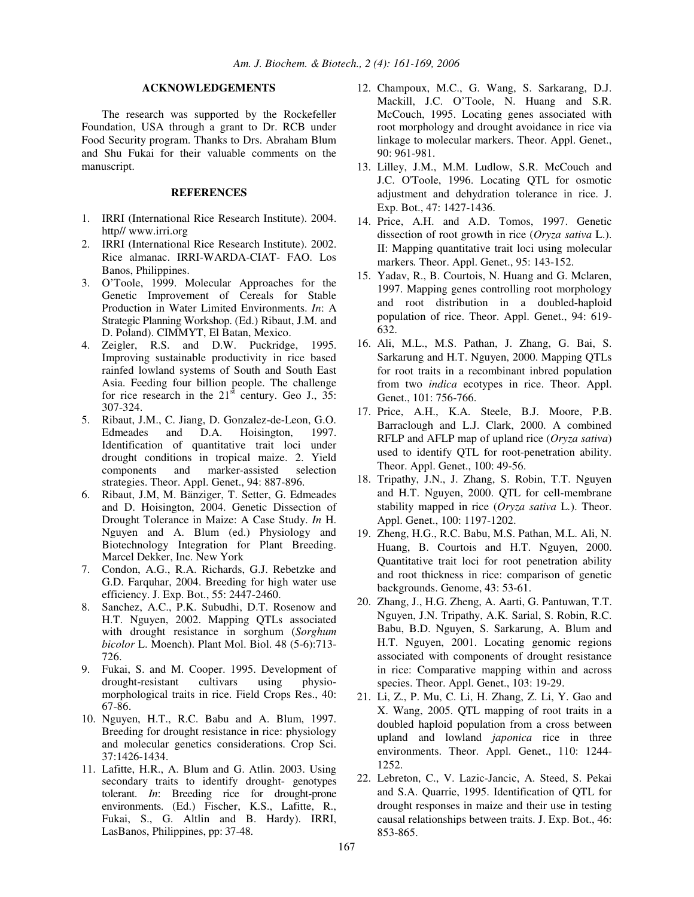# **ACKNOWLEDGEMENTS**

The research was supported by the Rockefeller Foundation, USA through a grant to Dr. RCB under Food Security program. Thanks to Drs. Abraham Blum and Shu Fukai for their valuable comments on the manuscript.

## **REFERENCES**

- 1. IRRI (International Rice Research Institute). 2004. http// www.irri.org
- 2. IRRI (International Rice Research Institute). 2002. Rice almanac. IRRI-WARDA-CIAT- FAO. Los Banos, Philippines.
- 3. O'Toole, 1999. Molecular Approaches for the Genetic Improvement of Cereals for Stable Production in Water Limited Environments. *In*: A Strategic Planning Workshop. (Ed.) Ribaut, J.M. and D. Poland). CIMMYT, El Batan, Mexico.
- 4. Zeigler, R.S. and D.W. Puckridge, 1995. Improving sustainable productivity in rice based rainfed lowland systems of South and South East Asia. Feeding four billion people. The challenge for rice research in the  $21<sup>st</sup>$  century. Geo J., 35: 307-324.
- 5. Ribaut, J.M., C. Jiang, D. Gonzalez-de-Leon, G.O. Edmeades and D.A. Hoisington, 1997. Identification of quantitative trait loci under drought conditions in tropical maize. 2. Yield components and marker-assisted selection strategies. Theor. Appl. Genet., 94: 887-896.
- 6. Ribaut, J.M, M. Bänziger, T. Setter, G. Edmeades and D. Hoisington, 2004. Genetic Dissection of Drought Tolerance in Maize: A Case Study. *In* H. Nguyen and A. Blum (ed.) Physiology and Biotechnology Integration for Plant Breeding. Marcel Dekker, Inc. New York
- 7. Condon, A.G., R.A. Richards, G.J. Rebetzke and G.D. Farquhar, 2004. Breeding for high water use efficiency. J. Exp. Bot., 55: 2447-2460.
- 8. Sanchez, A.C., P.K. Subudhi, D.T. Rosenow and H.T. Nguyen, 2002. Mapping QTLs associated with drought resistance in sorghum (*Sorghum bicolor* L. Moench). Plant Mol. Biol. 48 (5-6):713- 726.
- 9. Fukai, S. and M. Cooper. 1995. Development of drought-resistant cultivars using physiomorphological traits in rice. Field Crops Res., 40: 67-86.
- 10. Nguyen, H.T., R.C. Babu and A. Blum, 1997. Breeding for drought resistance in rice: physiology and molecular genetics considerations. Crop Sci. 37:1426-1434.
- 11. Lafitte, H.R., A. Blum and G. Atlin. 2003. Using secondary traits to identify drought- genotypes tolerant. *In*: Breeding rice for drought-prone environments. (Ed.) Fischer, K.S., Lafitte, R., Fukai, S., G. Altlin and B. Hardy). IRRI, LasBanos, Philippines, pp: 37-48.
- 12. Champoux, M.C., G. Wang, S. Sarkarang, D.J. Mackill, J.C. O'Toole, N. Huang and S.R. McCouch, 1995. Locating genes associated with root morphology and drought avoidance in rice via linkage to molecular markers. Theor. Appl. Genet., 90: 961-981.
- 13. Lilley, J.M., M.M. Ludlow, S.R. McCouch and J.C. O'Toole, 1996. Locating QTL for osmotic adjustment and dehydration tolerance in rice. J. Exp. Bot., 47: 1427-1436.
- 14. Price, A.H. and A.D. Tomos, 1997. Genetic dissection of root growth in rice (*Oryza sativa* L.). II: Mapping quantitative trait loci using molecular markers*.* Theor. Appl. Genet., 95: 143-152.
- 15. Yadav, R., B. Courtois, N. Huang and G. Mclaren, 1997. Mapping genes controlling root morphology and root distribution in a doubled-haploid population of rice. Theor. Appl. Genet., 94: 619- 632.
- 16. Ali, M.L., M.S. Pathan, J. Zhang, G. Bai, S. Sarkarung and H.T. Nguyen, 2000. Mapping QTLs for root traits in a recombinant inbred population from two *indica* ecotypes in rice. Theor. Appl. Genet., 101: 756-766.
- 17. Price, A.H., K.A. Steele, B.J. Moore, P.B. Barraclough and L.J. Clark, 2000. A combined RFLP and AFLP map of upland rice (*Oryza sativa*) used to identify QTL for root-penetration ability. Theor. Appl. Genet., 100: 49-56.
- 18. Tripathy, J.N., J. Zhang, S. Robin, T.T. Nguyen and H.T. Nguyen, 2000. QTL for cell-membrane stability mapped in rice (*Oryza sativa* L*.*). Theor. Appl. Genet., 100: 1197-1202.
- 19. Zheng, H.G., R.C. Babu, M.S. Pathan, M.L. Ali, N. Huang, B. Courtois and H.T. Nguyen, 2000. Quantitative trait loci for root penetration ability and root thickness in rice: comparison of genetic backgrounds. Genome, 43: 53-61.
- 20. Zhang, J., H.G. Zheng, A. Aarti, G. Pantuwan, T.T. Nguyen, J.N. Tripathy, A.K. Sarial, S. Robin, R.C. Babu, B.D. Nguyen, S. Sarkarung, A. Blum and H.T. Nguyen, 2001. Locating genomic regions associated with components of drought resistance in rice: Comparative mapping within and across species. Theor. Appl. Genet., 103: 19-29.
- 21. Li, Z., P. Mu, C. Li, H. Zhang, Z. Li, Y. Gao and X. Wang, 2005. QTL mapping of root traits in a doubled haploid population from a cross between upland and lowland *japonica* rice in three environments. Theor. Appl. Genet., 110: 1244- 1252.
- 22. Lebreton, C., V. Lazic-Jancic, A. Steed, S. Pekai and S.A. Quarrie, 1995. Identification of QTL for drought responses in maize and their use in testing causal relationships between traits. J. Exp. Bot., 46: 853-865.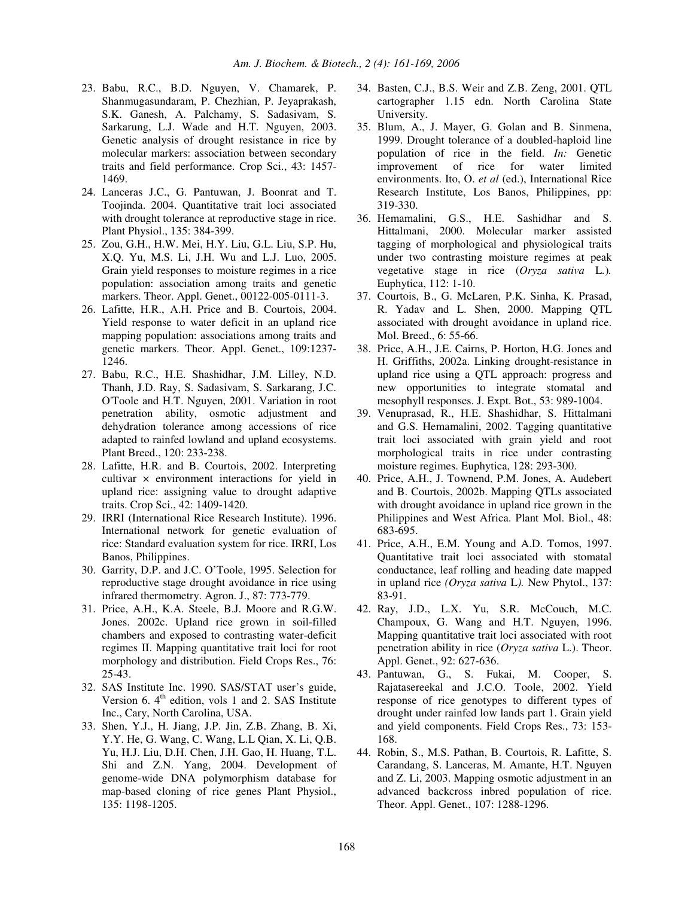- 23. Babu, R.C., B.D. Nguyen, V. Chamarek, P. Shanmugasundaram, P. Chezhian, P. Jeyaprakash, S.K. Ganesh, A. Palchamy, S. Sadasivam, S. Sarkarung, L.J. Wade and H.T. Nguyen, 2003. Genetic analysis of drought resistance in rice by molecular markers: association between secondary traits and field performance. Crop Sci., 43: 1457- 1469.
- 24. Lanceras J.C., G. Pantuwan, J. Boonrat and T. Toojinda. 2004. Quantitative trait loci associated with drought tolerance at reproductive stage in rice. Plant Physiol., 135: 384-399.
- 25. Zou, G.H., H.W. Mei, H.Y. Liu, G.L. Liu, S.P. Hu, X.Q. Yu, M.S. Li, J.H. Wu and L.J. Luo, 2005. Grain yield responses to moisture regimes in a rice population: association among traits and genetic markers. Theor. Appl. Genet., 00122-005-0111-3.
- 26. Lafitte, H.R., A.H. Price and B. Courtois, 2004. Yield response to water deficit in an upland rice mapping population: associations among traits and genetic markers. Theor. Appl. Genet., 109:1237- 1246.
- 27. Babu, R.C., H.E. Shashidhar, J.M. Lilley, N.D. Thanh, J.D. Ray, S. Sadasivam, S. Sarkarang, J.C. O'Toole and H.T. Nguyen, 2001. Variation in root penetration ability, osmotic adjustment and dehydration tolerance among accessions of rice adapted to rainfed lowland and upland ecosystems. Plant Breed., 120: 233-238.
- 28. Lafitte, H.R. and B. Courtois, 2002. Interpreting cultivar × environment interactions for yield in upland rice: assigning value to drought adaptive traits. Crop Sci., 42: 1409-1420.
- 29. IRRI (International Rice Research Institute). 1996. International network for genetic evaluation of rice: Standard evaluation system for rice. IRRI, Los Banos, Philippines.
- 30. Garrity, D.P. and J.C. O'Toole, 1995. Selection for reproductive stage drought avoidance in rice using infrared thermometry. Agron. J., 87: 773-779.
- 31. Price, A.H., K.A. Steele, B.J. Moore and R.G.W. Jones. 2002c. Upland rice grown in soil-filled chambers and exposed to contrasting water-deficit regimes II. Mapping quantitative trait loci for root morphology and distribution. Field Crops Res., 76: 25-43.
- 32. SAS Institute Inc. 1990. SAS/STAT user's guide, Version 6. 4<sup>th</sup> edition, vols 1 and 2. SAS Institute Inc., Cary, North Carolina, USA.
- 33. Shen, Y.J., H. Jiang, J.P. Jin, Z.B. Zhang, B. Xi, Y.Y. He, G. Wang, C. Wang, L.L Qian, X. Li, Q.B. Yu, H.J. Liu, D.H. Chen, J.H. Gao, H. Huang, T.L. Shi and Z.N. Yang, 2004. Development of genome-wide DNA polymorphism database for map-based cloning of rice genes Plant Physiol., 135: 1198-1205.
- 34. Basten, C.J., B.S. Weir and Z.B. Zeng, 2001. QTL cartographer 1.15 edn. North Carolina State University.
- 35. Blum, A., J. Mayer, G. Golan and B. Sinmena, 1999. Drought tolerance of a doubled-haploid line population of rice in the field. *In:* Genetic improvement of rice for water limited environments. Ito, O. *et al* (ed.), International Rice Research Institute, Los Banos, Philippines, pp: 319-330.
- 36. Hemamalini, G.S., H.E. Sashidhar and S. Hittalmani, 2000. Molecular marker assisted tagging of morphological and physiological traits under two contrasting moisture regimes at peak vegetative stage in rice (*Oryza sativa* L*.*)*.* Euphytica, 112: 1-10.
- 37. Courtois, B., G. McLaren, P.K. Sinha, K. Prasad, R. Yadav and L. Shen, 2000. Mapping QTL associated with drought avoidance in upland rice. Mol. Breed., 6: 55-66.
- 38. Price, A.H., J.E. Cairns, P. Horton, H.G. Jones and H. Griffiths, 2002a. Linking drought-resistance in upland rice using a QTL approach: progress and new opportunities to integrate stomatal and mesophyll responses. J. Expt. Bot., 53: 989-1004.
- 39. Venuprasad, R., H.E. Shashidhar, S. Hittalmani and G.S. Hemamalini, 2002. Tagging quantitative trait loci associated with grain yield and root morphological traits in rice under contrasting moisture regimes. Euphytica, 128: 293-300.
- 40. Price, A.H., J. Townend, P.M. Jones, A. Audebert and B. Courtois, 2002b. Mapping QTLs associated with drought avoidance in upland rice grown in the Philippines and West Africa. Plant Mol. Biol., 48: 683-695.
- 41. Price, A.H., E.M. Young and A.D. Tomos, 1997. Quantitative trait loci associated with stomatal conductance, leaf rolling and heading date mapped in upland rice *(Oryza sativa* L*).* New Phytol., 137: 83-91.
- 42. Ray, J.D., L.X. Yu, S.R. McCouch, M.C. Champoux, G. Wang and H.T. Nguyen, 1996. Mapping quantitative trait loci associated with root penetration ability in rice (*Oryza sativa* L.). Theor. Appl. Genet., 92: 627-636.
- 43. Pantuwan, G., S. Fukai, M. Cooper, S. Rajatasereekal and J.C.O. Toole, 2002. Yield response of rice genotypes to different types of drought under rainfed low lands part 1. Grain yield and yield components. Field Crops Res., 73: 153- 168.
- 44. Robin, S., M.S. Pathan, B. Courtois, R. Lafitte, S. Carandang, S. Lanceras, M. Amante, H.T. Nguyen and Z. Li, 2003. Mapping osmotic adjustment in an advanced backcross inbred population of rice. Theor. Appl. Genet., 107: 1288-1296.